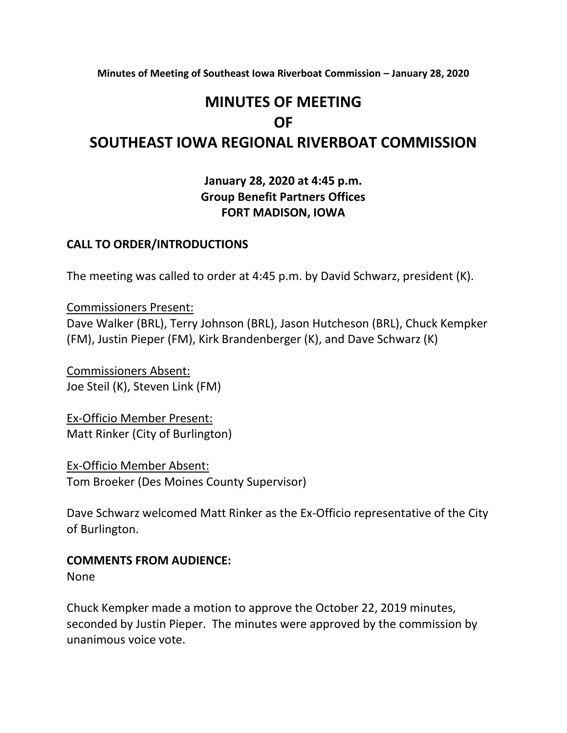**Minutes of Meeting of Southeast Iowa Riverboat Commission – January 28, 2020**

# **MINUTES OF MEETING OF**

# **SOUTHEAST IOWA REGIONAL RIVERBOAT COMMISSION**

## **January 28, 2020 at 4:45 p.m. Group Benefit Partners Offices FORT MADISON, IOWA**

#### **CALL TO ORDER/INTRODUCTIONS**

The meeting was called to order at 4:45 p.m. by David Schwarz, president (K).

Commissioners Present: Dave Walker (BRL), Terry Johnson (BRL), Jason Hutcheson (BRL), Chuck Kempker (FM), Justin Pieper (FM), Kirk Brandenberger (K), and Dave Schwarz (K)

Commissioners Absent: Joe Steil (K), Steven Link (FM)

Ex-Officio Member Present: Matt Rinker (City of Burlington)

Ex-Officio Member Absent: Tom Broeker (Des Moines County Supervisor)

Dave Schwarz welcomed Matt Rinker as the Ex-Officio representative of the City of Burlington.

#### **COMMENTS FROM AUDIENCE:**

None

Chuck Kempker made a motion to approve the October 22, 2019 minutes, seconded by Justin Pieper. The minutes were approved by the commission by unanimous voice vote.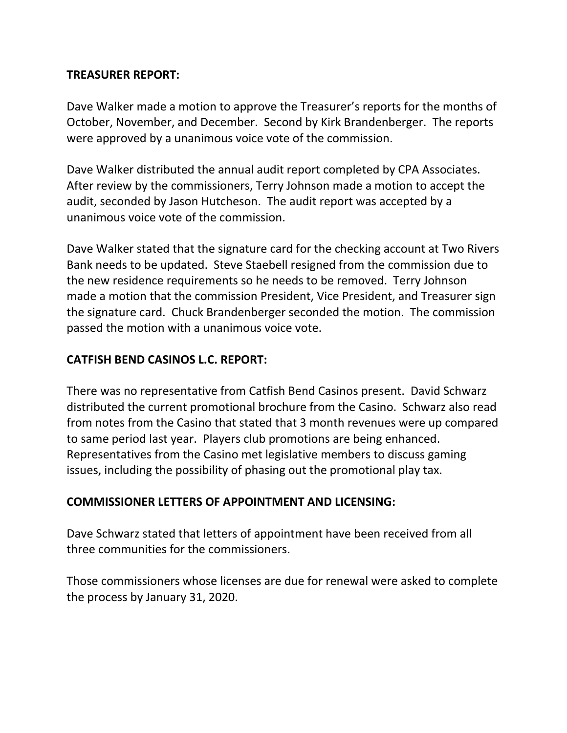#### **TREASURER REPORT:**

Dave Walker made a motion to approve the Treasurer's reports for the months of October, November, and December. Second by Kirk Brandenberger. The reports were approved by a unanimous voice vote of the commission.

Dave Walker distributed the annual audit report completed by CPA Associates. After review by the commissioners, Terry Johnson made a motion to accept the audit, seconded by Jason Hutcheson. The audit report was accepted by a unanimous voice vote of the commission.

Dave Walker stated that the signature card for the checking account at Two Rivers Bank needs to be updated. Steve Staebell resigned from the commission due to the new residence requirements so he needs to be removed. Terry Johnson made a motion that the commission President, Vice President, and Treasurer sign the signature card. Chuck Brandenberger seconded the motion. The commission passed the motion with a unanimous voice vote.

### **CATFISH BEND CASINOS L.C. REPORT:**

There was no representative from Catfish Bend Casinos present. David Schwarz distributed the current promotional brochure from the Casino. Schwarz also read from notes from the Casino that stated that 3 month revenues were up compared to same period last year. Players club promotions are being enhanced. Representatives from the Casino met legislative members to discuss gaming issues, including the possibility of phasing out the promotional play tax.

#### **COMMISSIONER LETTERS OF APPOINTMENT AND LICENSING:**

Dave Schwarz stated that letters of appointment have been received from all three communities for the commissioners.

Those commissioners whose licenses are due for renewal were asked to complete the process by January 31, 2020.